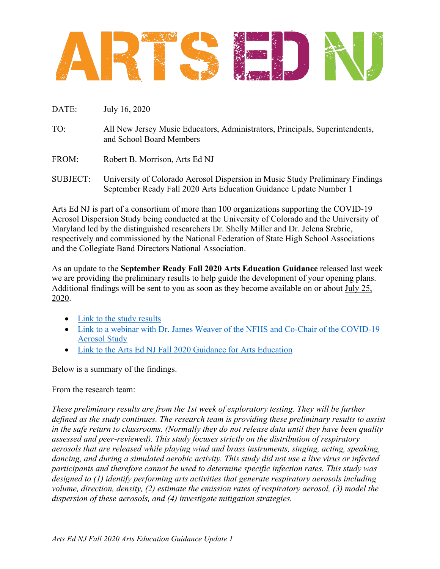

- DATE: July 16, 2020
- TO: All New Jersey Music Educators, Administrators, Principals, Superintendents, and School Board Members
- FROM: Robert B. Morrison. Arts Ed NJ
- SUBJECT: University of Colorado Aerosol Dispersion in Music Study Preliminary Findings September Ready Fall 2020 Arts Education Guidance Update Number 1

Arts Ed NJ is part of a consortium of more than 100 organizations supporting the COVID-19 Aerosol Dispersion Study being conducted at the University of Colorado and the University of Maryland led by the distinguished researchers Dr. Shelly Miller and Dr. Jelena Srebric, respectively and commissioned by the National Federation of State High School Associations and the Collegiate Band Directors National Association.

As an update to the **September Ready Fall 2020 Arts Education Guidance** released last week we are providing the preliminary results to help guide the development of your opening plans. Additional findings will be sent to you as soon as they become available on or about July 25, 2020.

- Link to the study results
- Link to a webinar with Dr. James Weaver of the NFHS and Co-Chair of the COVID-19 Aerosol Study
- Link to the Arts Ed NJ Fall 2020 Guidance for Arts Education

Below is a summary of the findings.

## From the research team:

*These preliminary results are from the 1st week of exploratory testing. They will be further defined as the study continues. The research team is providing these preliminary results to assist in the safe return to classrooms. (Normally they do not release data until they have been quality assessed and peer-reviewed). This study focuses strictly on the distribution of respiratory aerosols that are released while playing wind and brass instruments, singing, acting, speaking, dancing, and during a simulated aerobic activity. This study did not use a live virus or infected participants and therefore cannot be used to determine specific infection rates. This study was designed to (1) identify performing arts activities that generate respiratory aerosols including volume, direction, density, (2) estimate the emission rates of respiratory aerosol, (3) model the dispersion of these aerosols, and (4) investigate mitigation strategies.*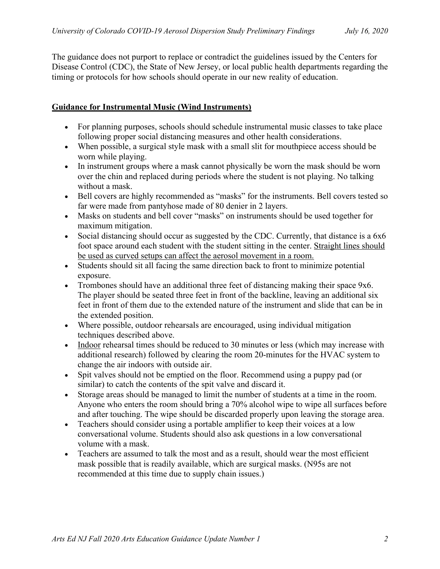The guidance does not purport to replace or contradict the guidelines issued by the Centers for Disease Control (CDC), the State of New Jersey, or local public health departments regarding the timing or protocols for how schools should operate in our new reality of education.

## **Guidance for Instrumental Music (Wind Instruments)**

- For planning purposes, schools should schedule instrumental music classes to take place following proper social distancing measures and other health considerations.
- When possible, a surgical style mask with a small slit for mouthpiece access should be worn while playing.
- In instrument groups where a mask cannot physically be worn the mask should be worn over the chin and replaced during periods where the student is not playing. No talking without a mask.
- Bell covers are highly recommended as "masks" for the instruments. Bell covers tested so far were made from pantyhose made of 80 denier in 2 layers.
- Masks on students and bell cover "masks" on instruments should be used together for maximum mitigation.
- Social distancing should occur as suggested by the CDC. Currently, that distance is a 6x6 foot space around each student with the student sitting in the center. Straight lines should be used as curved setups can affect the aerosol movement in a room.
- Students should sit all facing the same direction back to front to minimize potential exposure.
- Trombones should have an additional three feet of distancing making their space 9x6. The player should be seated three feet in front of the backline, leaving an additional six feet in front of them due to the extended nature of the instrument and slide that can be in the extended position.
- Where possible, outdoor rehearsals are encouraged, using individual mitigation techniques described above.
- Indoor rehearsal times should be reduced to 30 minutes or less (which may increase with additional research) followed by clearing the room 20-minutes for the HVAC system to change the air indoors with outside air.
- Spit valves should not be emptied on the floor. Recommend using a puppy pad (or similar) to catch the contents of the spit valve and discard it.
- Storage areas should be managed to limit the number of students at a time in the room. Anyone who enters the room should bring a 70% alcohol wipe to wipe all surfaces before and after touching. The wipe should be discarded properly upon leaving the storage area.
- Teachers should consider using a portable amplifier to keep their voices at a low conversational volume. Students should also ask questions in a low conversational volume with a mask.
- Teachers are assumed to talk the most and as a result, should wear the most efficient mask possible that is readily available, which are surgical masks. (N95s are not recommended at this time due to supply chain issues.)